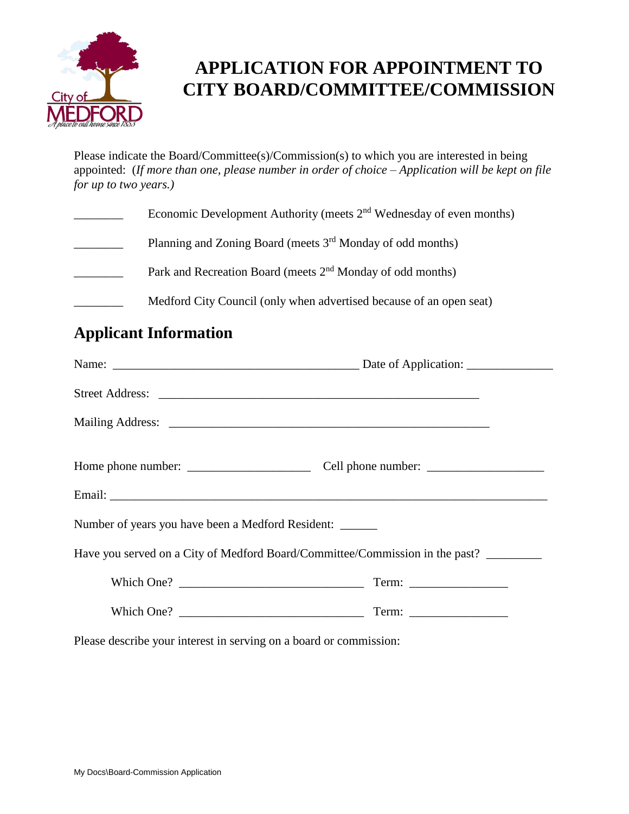

## **APPLICATION FOR APPOINTMENT TO CITY BOARD/COMMITTEE/COMMISSION**

Please indicate the Board/Committee(s)/Commission(s) to which you are interested in being appointed: (*If more than one, please number in order of choice – Application will be kept on file for up to two years.)*

| Economic Development Authority (meets $2nd$ Wednesday of even months)  |
|------------------------------------------------------------------------|
| Planning and Zoning Board (meets 3 <sup>rd</sup> Monday of odd months) |
| Park and Recreation Board (meets 2 <sup>nd</sup> Monday of odd months) |
| Medford City Council (only when advertised because of an open seat)    |

## **Applicant Information**

| Number of years you have been a Medford Resident: |                                                                              |
|---------------------------------------------------|------------------------------------------------------------------------------|
|                                                   | Have you served on a City of Medford Board/Committee/Commission in the past? |
| Which One?                                        |                                                                              |
|                                                   |                                                                              |
|                                                   |                                                                              |

Please describe your interest in serving on a board or commission: